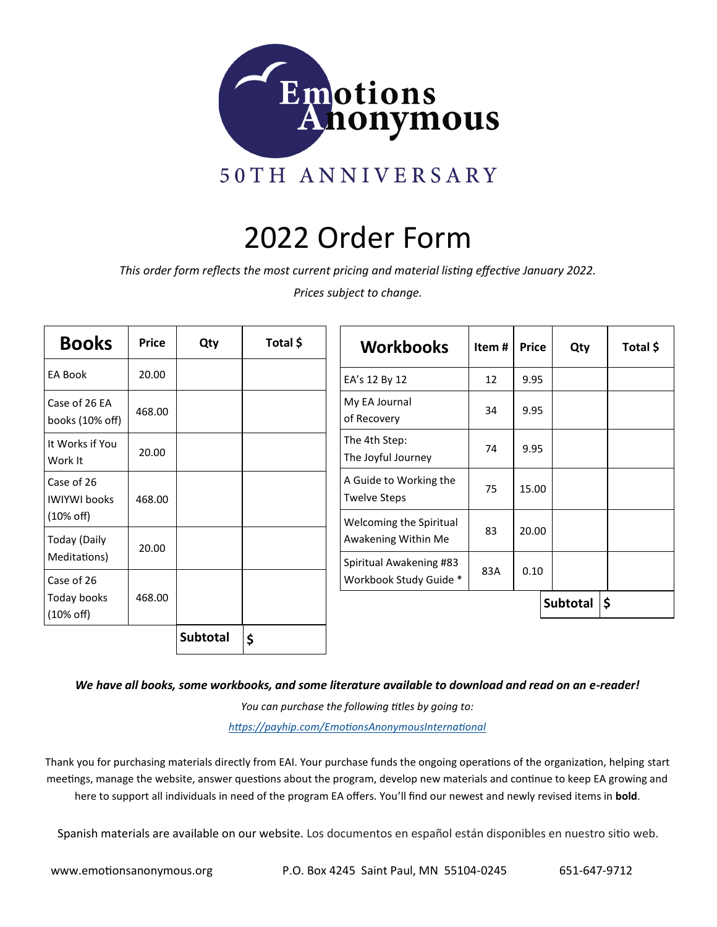

# 2022 Order Form

*This order form reflects the most current pricing and material listing effective January 2022.*

*Prices subject to change.*

| <b>Books</b>                        | <b>Price</b> | Qty      | Total \$ | <b>Workbooks</b>                                  | Item# | <b>Price</b> | Qty              |  |
|-------------------------------------|--------------|----------|----------|---------------------------------------------------|-------|--------------|------------------|--|
| <b>EA Book</b>                      | 20.00        |          |          | EA's 12 By 12                                     | 12    | 9.95         |                  |  |
| Case of 26 EA<br>books (10% off)    | 468.00       |          |          | My EA Journal<br>of Recovery                      | 34    | 9.95         |                  |  |
| It Works if You<br>Work It          | 20.00        |          |          | The 4th Step:<br>The Joyful Journey               | 74    | 9.95         |                  |  |
| Case of 26<br><b>IWIYWI books</b>   | 468.00       |          |          | A Guide to Working the<br><b>Twelve Steps</b>     | 75    | 15.00        |                  |  |
| $(10\% \text{ off})$                |              |          |          | Welcoming the Spiritual                           | 83    | 20.00        |                  |  |
| Today (Daily                        | 20.00        |          |          | Awakening Within Me                               |       |              |                  |  |
| Meditations)<br>Case of 26          |              |          |          | Spiritual Awakening #83<br>Workbook Study Guide * | 83A   | 0.10         |                  |  |
| Today books<br>$(10\% \text{ off})$ | 468.00       |          |          |                                                   |       |              | Subtotal $ \xi $ |  |
|                                     |              | Subtotal | \$       |                                                   |       |              |                  |  |

*We have all books, some workbooks, and some literature available to download and read on an e-reader!*

*You can purchase the following titles by going to: [https://payhip.com/EmotionsAnonymousInternational](https://payhip.com/EmotionsAnonymousInternational/collection/all)*

Thank you for purchasing materials directly from EAI. Your purchase funds the ongoing operations of the organization, helping start meetings, manage the website, answer questions about the program, develop new materials and continue to keep EA growing and here to support all individuals in need of the program EA offers. You'll find our newest and newly revised items in **bold**.

Spanish materials are available on our website. Los documentos en español están disponibles en nuestro sitio web.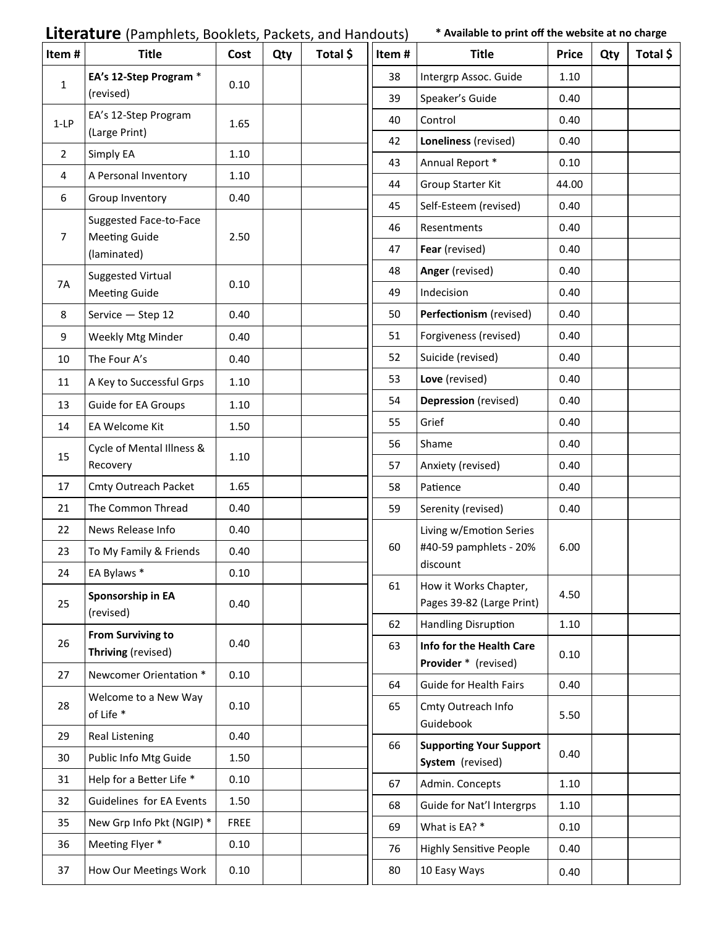### **Literature** (Pamphlets, Booklets, Packets, and Handouts) **\* Available to print off the website at no charge**

| Item#          | <b>Title</b>                                   | Cost        | Qty | Total \$ | Item# | <b>Title</b>                                       | <b>Price</b> | Qty | Total \$ |
|----------------|------------------------------------------------|-------------|-----|----------|-------|----------------------------------------------------|--------------|-----|----------|
| $\mathbf{1}$   | EA's 12-Step Program *                         | 0.10        |     |          | 38    | Intergrp Assoc. Guide                              | 1.10         |     |          |
|                | (revised)                                      |             |     |          | 39    | Speaker's Guide                                    | 0.40         |     |          |
| $1-LP$         | EA's 12-Step Program                           | 1.65        |     |          | 40    | Control                                            | 0.40         |     |          |
|                | (Large Print)                                  |             |     |          | 42    | Loneliness (revised)                               | 0.40         |     |          |
| $\overline{2}$ | Simply EA                                      | 1.10        |     |          | 43    | Annual Report *                                    | 0.10         |     |          |
| 4              | A Personal Inventory                           | 1.10        |     |          | 44    | Group Starter Kit                                  | 44.00        |     |          |
| 6              | Group Inventory                                | 0.40        |     |          | 45    | Self-Esteem (revised)                              | 0.40         |     |          |
| 7              | Suggested Face-to-Face<br><b>Meeting Guide</b> | 2.50        |     |          | 46    | Resentments                                        | 0.40         |     |          |
|                | (laminated)                                    |             |     |          | 47    | Fear (revised)                                     | 0.40         |     |          |
|                | <b>Suggested Virtual</b>                       |             |     |          | 48    | Anger (revised)                                    | 0.40         |     |          |
| 7A             | <b>Meeting Guide</b>                           | 0.10        |     |          | 49    | Indecision                                         | 0.40         |     |          |
| 8              | Service - Step 12                              | 0.40        |     |          | 50    | Perfectionism (revised)                            | 0.40         |     |          |
| 9              | Weekly Mtg Minder                              | 0.40        |     |          | 51    | Forgiveness (revised)                              | 0.40         |     |          |
| 10             | The Four A's                                   | 0.40        |     |          | 52    | Suicide (revised)                                  | 0.40         |     |          |
| 11             | A Key to Successful Grps                       | 1.10        |     |          | 53    | Love (revised)                                     | 0.40         |     |          |
| 13             | Guide for EA Groups                            | 1.10        |     |          | 54    | Depression (revised)                               | 0.40         |     |          |
| 14             | EA Welcome Kit                                 | 1.50        |     |          | 55    | Grief                                              | 0.40         |     |          |
|                | Cycle of Mental Illness &                      |             |     |          | 56    | Shame                                              | 0.40         |     |          |
| 15             | Recovery                                       | 1.10        |     |          | 57    | Anxiety (revised)                                  | 0.40         |     |          |
| 17             | Cmty Outreach Packet                           | 1.65        |     |          | 58    | Patience                                           | 0.40         |     |          |
| 21             | The Common Thread                              | 0.40        |     |          | 59    | Serenity (revised)                                 | 0.40         |     |          |
| 22             | News Release Info                              | 0.40        |     |          |       | Living w/Emotion Series                            |              |     |          |
| 23             | To My Family & Friends                         | 0.40        |     |          | 60    | #40-59 pamphlets - 20%                             | 6.00         |     |          |
| 24             | EA Bylaws *                                    | 0.10        |     |          |       | discount                                           |              |     |          |
| 25             | Sponsorship in EA<br>(revised)                 | 0.40        |     |          | 61    | How it Works Chapter,<br>Pages 39-82 (Large Print) | 4.50         |     |          |
|                | <b>From Surviving to</b>                       |             |     |          | 62    | <b>Handling Disruption</b>                         | 1.10         |     |          |
| 26             | Thriving (revised)                             | 0.40        |     |          | 63    | Info for the Health Care<br>Provider * (revised)   | 0.10         |     |          |
| 27             | Newcomer Orientation *                         | 0.10        |     |          | 64    | Guide for Health Fairs                             | 0.40         |     |          |
| 28             | Welcome to a New Way<br>of Life *              | 0.10        |     |          | 65    | Cmty Outreach Info<br>Guidebook                    | 5.50         |     |          |
| 29             | Real Listening                                 | 0.40        |     |          | 66    | <b>Supporting Your Support</b>                     | 0.40         |     |          |
| 30             | Public Info Mtg Guide                          | 1.50        |     |          |       | System (revised)                                   |              |     |          |
| 31             | Help for a Better Life *                       | 0.10        |     |          | 67    | Admin. Concepts                                    | 1.10         |     |          |
| 32             | Guidelines for EA Events                       | 1.50        |     |          | 68    | Guide for Nat'l Intergrps                          | 1.10         |     |          |
| 35             | New Grp Info Pkt (NGIP) *                      | <b>FREE</b> |     |          | 69    | What is EA? *                                      | 0.10         |     |          |
| 36             | Meeting Flyer *                                | 0.10        |     |          | 76    | <b>Highly Sensitive People</b>                     | 0.40         |     |          |
| 37             | How Our Meetings Work                          | 0.10        |     |          | 80    | 10 Easy Ways                                       | 0.40         |     |          |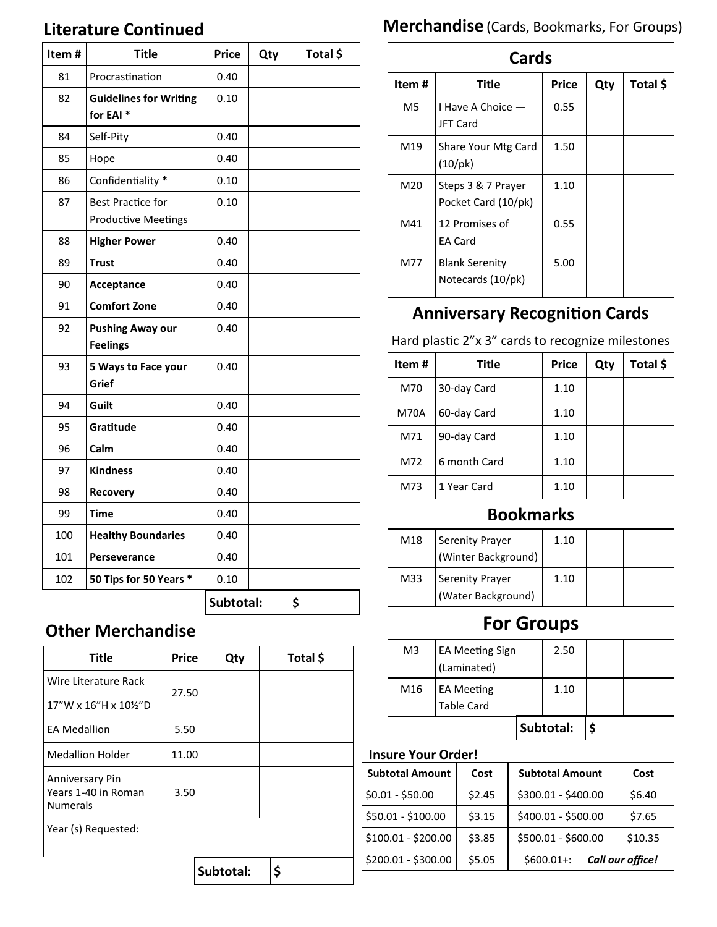### **Literature Continued**

| Item# | <b>Title</b>                                           | <b>Price</b> | Qty | Total \$ |
|-------|--------------------------------------------------------|--------------|-----|----------|
| 81    | Procrastination                                        | 0.40         |     |          |
| 82    | <b>Guidelines for Writing</b><br>for EAI <sup>*</sup>  | 0.10         |     |          |
| 84    | Self-Pity                                              | 0.40         |     |          |
| 85    | Hope                                                   | 0.40         |     |          |
| 86    | Confidentiality *                                      | 0.10         |     |          |
| 87    | <b>Best Practice for</b><br><b>Productive Meetings</b> | 0.10         |     |          |
| 88    | <b>Higher Power</b>                                    | 0.40         |     |          |
| 89    | <b>Trust</b>                                           | 0.40         |     |          |
| 90    | Acceptance                                             | 0.40         |     |          |
| 91    | <b>Comfort Zone</b>                                    | 0.40         |     |          |
| 92    | <b>Pushing Away our</b><br><b>Feelings</b>             | 0.40         |     |          |
| 93    | 5 Ways to Face your<br>Grief                           | 0.40         |     |          |
| 94    | Guilt                                                  | 0.40         |     |          |
| 95    | Gratitude                                              | 0.40         |     |          |
| 96    | Calm                                                   | 0.40         |     |          |
| 97    | <b>Kindness</b>                                        | 0.40         |     |          |
| 98    | Recovery                                               | 0.40         |     |          |
| 99    | <b>Time</b>                                            | 0.40         |     |          |
| 100   | <b>Healthy Boundaries</b>                              | 0.40         |     |          |
| 101   | Perseverance                                           | 0.40         |     |          |
| 102   | 50 Tips for 50 Years *                                 | 0.10         |     |          |
|       |                                                        | Subtotal:    |     | \$       |

### **Other Merchandise**

| <b>Title</b>                                              | <b>Price</b> | Qty       | Total \$ |
|-----------------------------------------------------------|--------------|-----------|----------|
| Wire Literature Rack                                      | 27.50        |           |          |
| 17"W x 16"H x 10%"D                                       |              |           |          |
| <b>EA Medallion</b>                                       | 5.50         |           |          |
| <b>Medallion Holder</b>                                   | 11.00        |           |          |
| Anniversary Pin<br>Years 1-40 in Roman<br><b>Numerals</b> | 3.50         |           |          |
| Year (s) Requested:                                       |              |           |          |
|                                                           |              | Subtotal: | \$       |

# **Merchandise** (Cards, Bookmarks, For Groups)

| <b>Cards</b>   |                                            |       |     |          |  |
|----------------|--------------------------------------------|-------|-----|----------|--|
| Item#          | Title                                      | Price | Qty | Total \$ |  |
| M <sub>5</sub> | I Have A Choice -<br><b>JFT Card</b>       | 0.55  |     |          |  |
| M19            | Share Your Mtg Card<br>$(10/\text{pk})$    | 1.50  |     |          |  |
| M20            | Steps 3 & 7 Prayer<br>Pocket Card (10/pk)  | 1.10  |     |          |  |
| M41            | 12 Promises of<br><b>EA Card</b>           | 0.55  |     |          |  |
| M77            | <b>Blank Serenity</b><br>Notecards (10/pk) | 5.00  |     |          |  |

## **Anniversary Recognition Cards**

Hard plastic 2"x 3" cards to recognize milestones

| Item# | Title        | <b>Price</b> | Qty | Total \$ |
|-------|--------------|--------------|-----|----------|
| M70   | 30-day Card  | 1.10         |     |          |
| M70A  | 60-day Card  | 1.10         |     |          |
| M71   | 90-day Card  | 1.10         |     |          |
| M72   | 6 month Card | 1.10         |     |          |
| M73   | 1 Year Card  | 1.10         |     |          |

#### **Bookmarks**

| M18 | <b>Serenity Prayer</b><br>(Winter Background) | 1.10 |  |
|-----|-----------------------------------------------|------|--|
| M33 | Serenity Prayer<br>(Water Background)         | 1.10 |  |

# **For Groups**

|                |                        | Subtotal: |      |  |
|----------------|------------------------|-----------|------|--|
|                | <b>Table Card</b>      |           |      |  |
| M16            | <b>EA Meeting</b>      |           | 1.10 |  |
|                | (Laminated)            |           |      |  |
| M <sub>3</sub> | <b>EA Meeting Sign</b> |           | 2.50 |  |
|                |                        |           |      |  |

#### **Insure Your Order!**

| <b>Subtotal Amount</b> | Cost   | <b>Subtotal Amount</b> | Cost             |
|------------------------|--------|------------------------|------------------|
| $$0.01 - $50.00$       | \$2.45 | \$300.01 - \$400.00    | \$6.40           |
| \$50.01 - \$100.00     | \$3.15 | \$400.01 - \$500.00    | \$7.65           |
| \$100.01 - \$200.00    | \$3.85 | \$500.01 - \$600.00    | \$10.35          |
| \$200.01 - \$300.00    | \$5.05 | $$600.01+:$            | Call our office! |